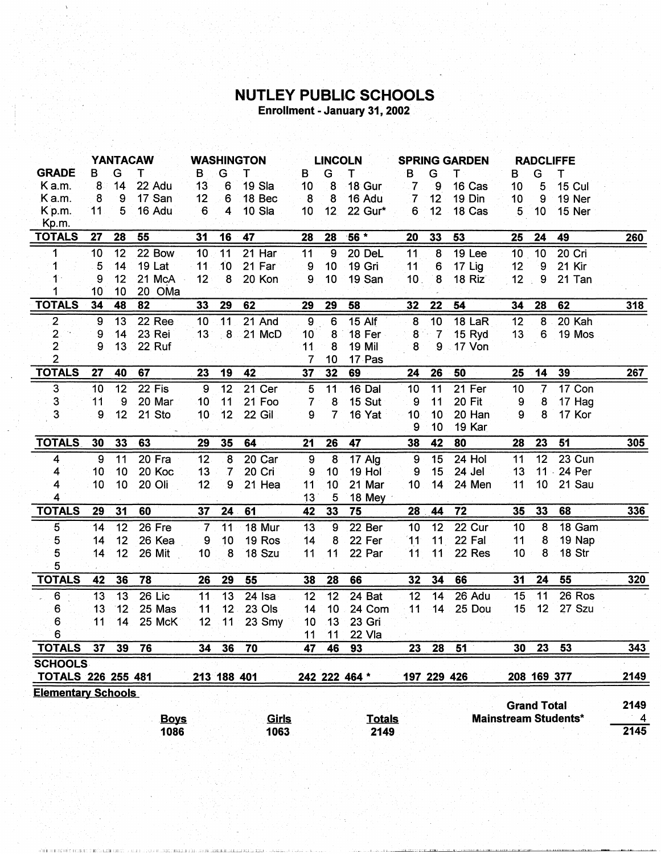## **NUTLEY PUBLIC SCHOOLS**<br>Enrollment - January 31, 2002

|                           | <b>YANTACAW</b>  |    |               | <b>WASHINGTON</b> |                 |               | <b>LINCOLN</b> |                  |               | <b>SPRING GARDEN</b> |                  |                 | <b>RADCLIFFE</b>   |                                                        |                             |                          |
|---------------------------|------------------|----|---------------|-------------------|-----------------|---------------|----------------|------------------|---------------|----------------------|------------------|-----------------|--------------------|--------------------------------------------------------|-----------------------------|--------------------------|
| <b>GRADE</b>              | B                | G  | т             | В                 | G               | т             | в              | G                | т             | В                    | G                | т               | в                  | G                                                      | Т                           |                          |
| K a.m.                    | 8                | 14 | 22 Adu        | 13                | 6               | 19 Sla        | 10             | $\boldsymbol{8}$ | 18 Gur        | $\overline{7}$       | 9                | 16 Cas          | 10 <sup>°</sup>    | 5                                                      | <b>15 Cul</b>               |                          |
| Ka.m.                     | 8                | 9  | 17 San        | 12                | 6               | 18 Bec        | -8             | 8                | 16 Adu        | $\overline{7}$       | 12               | 19 Din          | 10 <sup>1</sup>    | 9                                                      | 19 Ner                      |                          |
| Kp.m.                     | 11               | 5  | 16 Adu        | 6                 | 4               | 10 Sla        | 10             | 12               | 22 Gur*       | 6                    | 12               | 18 Cas          | 5                  | 10                                                     | 15 Ner                      |                          |
| Kp.m.                     |                  |    |               |                   |                 |               |                |                  |               |                      |                  |                 |                    |                                                        |                             |                          |
| <b>TOTALS</b>             | 27               | 28 | 55            | 31                | 16              | 47            | 28             | 28               | $56*$         | 20                   | 33               | 53              | 25                 | 24                                                     | 49                          | <b>260</b>               |
| 1                         | 10               | 12 | 22 Bow        | 10                | 11              | $21$ Har      | 11             | $\overline{9}$   | 20 DeL        | $\overline{11}$      | $\overline{8}$   | 19 Lee          | 10                 | $\overline{10}$                                        | $20$ Cri                    |                          |
| 1                         | 5                | 14 | <b>19 Lat</b> | 11                | 10              | 21 Far        | 9              | 10 <sup>°</sup>  | 19 Gri        | 11                   | $6\phantom{1}6$  | 17 Lig          | 12                 | 9                                                      | 21 Kir                      |                          |
| 1                         | 9                | 12 | 21 McA        | 12                | 8               | 20 Kon        | 9              | 10               | 19 San        | 10 <sub>1</sub>      | $\boldsymbol{8}$ | 18 Riz          | 12                 | ${\bf 9}$<br>$\mathcal{A}^{\mathcal{A}}_{\mathcal{A}}$ | 21 Tan                      |                          |
|                           | 10               | 10 | 20 OMa        |                   |                 |               |                |                  |               |                      |                  |                 |                    |                                                        |                             |                          |
| <b>TOTALS</b>             | 34               | 48 | 82            | 33                | 29              | 62            | 29             | <u>29</u>        | 58            | 32                   | 22               | 54              | 34                 | 28                                                     | 62                          | 318                      |
| $\mathbf{2}$              | $\boldsymbol{9}$ | 13 | 22 Ree        | 10                | 11              | 21 And        | $\mathbf 9$    | 6                | 15 Alf        | 8                    | 10               | 18 LaR          | 12                 | 8                                                      | 20 Kah                      |                          |
| $\mathbf{2}$              | 9                | 14 | 23 Rei        | 13 <sup>7</sup>   | 8               | 21 McD        | 10             | 8                | 18 Fer        | 8                    | 7                | 15 Ryd          | 13                 | 6                                                      | 19 Mos                      |                          |
| $\overline{2}$            | 9                | 13 | 22 Ruf        |                   |                 |               | 11             | 8                | <b>19 Mil</b> | 8                    | 9                | 17 Von          |                    |                                                        |                             |                          |
| $\overline{2}$            |                  |    |               |                   |                 |               | 7              | 10               | 17 Pas        |                      |                  |                 |                    |                                                        |                             |                          |
| <b>TOTALS</b>             | 27               | 40 | 67            | 23                | 19              | 42            | 37             | 32               | 69            | 24                   | 26               | 50              | 25                 | 14                                                     | 39 <sub>°</sub>             | 267                      |
| 3                         | 10               | 12 | 22 Fis        | $\overline{9}$    | 12              | 21 Cer        | 5              | 11               | $16$ Dal      | 10                   | $\overline{11}$  | 21 Fer          | 10                 | $\overline{7}$                                         | 17 Con                      |                          |
| 3                         | 11               | 9  | 20 Mar        | 10                | 11              | 21 Foo        | 7              | 8                | 15 Sut        | 9                    | 11               | 20 Fit          | 9                  | 8                                                      | 17 Hag                      |                          |
| 3                         | 9                | 12 | 21 Sto        | 10                | 12              | <b>22 Gil</b> | 9              | 7                | 16 Yat        | 10                   | 10               | 20 Han          | 9                  | 8                                                      | 17 Kor                      |                          |
|                           |                  |    |               |                   |                 |               |                |                  |               | 9                    | 10               | 19 Kar          |                    |                                                        |                             |                          |
| <b>TOTALS</b>             | 30               | 33 | 63            | 29                | 35              | 64            | 21             | 26               | 47            | 38                   | 42               | 80              | 28                 | 23                                                     | 51                          | 305                      |
| 4                         | 9                | 11 | 20 Fra        | 12                | 8               | 20 Car        | 9              | 8                | 17 Alg        | 9                    | 15               | 24 Hol          | 11                 | 12                                                     | 23 Cun                      |                          |
| 4                         | 10               | 10 | 20 Koc        | 13                | $\mathcal{I}$   | 20 Cri        | 9              | 10               | 19 Hol        | 9                    | 15               | 24 Jel          | 13                 | $11 -$                                                 | 24 Per                      |                          |
| 4                         | 10               | 10 | 20 Oli        | 12 <sub>1</sub>   | 9               | 21 Hea        | 11             | 10               | 21 Mar        | 10                   | 14               | 24 Men          | 11                 | 10 <sub>1</sub>                                        | <b>21 Sau</b>               |                          |
| 4                         |                  |    |               |                   |                 |               | 13             | 5                | 18 Mey        |                      |                  |                 |                    |                                                        |                             |                          |
| <b>TOTALS</b>             | 29               | 31 | 60            | 37                | 24              | 61            | 42             | 33               | 75            | 28                   | 44               | $\overline{72}$ | 35                 | 33                                                     | 68                          | 336                      |
| $\overline{5}$            | 14               | 12 | $26$ Fre      | $\overline{7}$    | 11              | 18 Mur        | 13             | $\overline{9}$   | 22 Ber        | 10                   | 12               | 22 Cur          | 10                 | 8                                                      | 18 Gam                      |                          |
| 5                         | 14               | 12 | 26 Kea        | 9                 | 10              | 19 Ros        | 14             | 8                | 22 Fer        | 11                   | 11               | 22 Fal          | 11                 | 8                                                      | 19 Nap                      |                          |
| 5                         | 14               | 12 | 26 Mit        | 10                | 8               | 18 Szu        | 11             | 11               | 22 Par        | 11                   | 11               | 22 Res          | 10                 | 8                                                      | 18 Str                      |                          |
| 5                         |                  |    |               |                   |                 |               |                |                  |               |                      |                  |                 |                    |                                                        |                             |                          |
| <b>TOTALS</b>             | 42               | 36 | 78            | 26                | 29              | 55            | 38             | 28               | 66            | 32                   | 34               | 66              | 31                 | 24                                                     | 55                          | 320                      |
| $6\phantom{1}6$<br>¥.     | 13               | 13 | $26$ Lic      | 11                | 13              | $24$ Isa      | 12             | $\overline{12}$  | 24 Bat        | $\overline{12}$      | 14               | 26 Adu          | 15                 | 11                                                     | 26 Ros                      |                          |
| 6                         | 13               | 12 | 25 Mas        | 11                | 12 <sup>°</sup> | 23 Ols        | 14             | 10 <sub>1</sub>  | 24 Com        | 11                   | 14               | 25 Dou          | 15                 | 12                                                     | 27 Szu                      |                          |
| 6                         | 11               | 14 | 25 McK        | 12                | 11              | 23 Smy        | 10             | 13               | 23 Gri        |                      |                  |                 |                    |                                                        |                             |                          |
| 6                         |                  |    |               |                   |                 |               | 11             | 11 <sup>1</sup>  | 22 Vla        |                      |                  |                 |                    |                                                        |                             |                          |
| <b>TOTALS</b>             | 37               | 39 | 76            | 34                | 36              | 70            | 47             | 46               | 93            | 23                   | 28               | 51              | 30                 | 23                                                     | 53                          | 343                      |
| <b>SCHOOLS</b>            |                  |    |               |                   |                 |               |                |                  |               |                      |                  |                 |                    |                                                        |                             |                          |
| <b>TOTALS 226 255 481</b> |                  |    |               |                   | 213 188 401     |               |                |                  | 242 222 464 * |                      | 197 229 426      |                 |                    | 208 169 377                                            |                             | 2149                     |
| <b>Elementary Schools</b> |                  |    |               |                   |                 |               |                |                  |               |                      |                  |                 |                    |                                                        |                             |                          |
|                           |                  |    |               |                   |                 |               |                |                  |               |                      |                  |                 | <b>Grand Total</b> |                                                        |                             | 2149                     |
|                           |                  |    | <b>Boys</b>   |                   |                 | Girls         |                |                  | <b>Totals</b> |                      |                  |                 |                    |                                                        | <b>Mainstream Students*</b> | $\overline{\phantom{a}}$ |
|                           |                  |    | 1086          |                   |                 | 1063          |                |                  | 2149          |                      |                  |                 |                    |                                                        |                             | 2145                     |